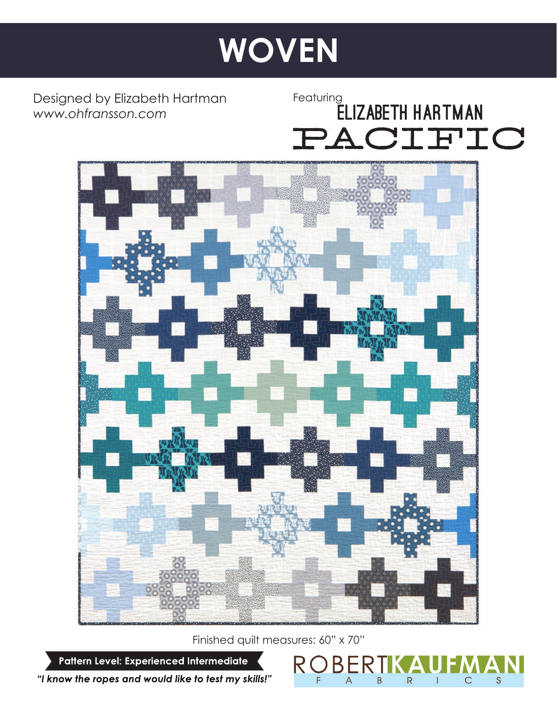# **Just WOVEN**

Designed by Elizabeth Hartman *www.ohfransson.com*

Featuring<br>**ELIZABETH HARTMAN** PACIFIC



Finished quilt measures: 60" x 70"

**BI** 

A

B

 $\overline{R}$ 

 $\mathsf S$ 

 $\mathsf{C}$ 

Pattern Level: Experienced Intermediate

"I know the ropes and would like to test my skills!"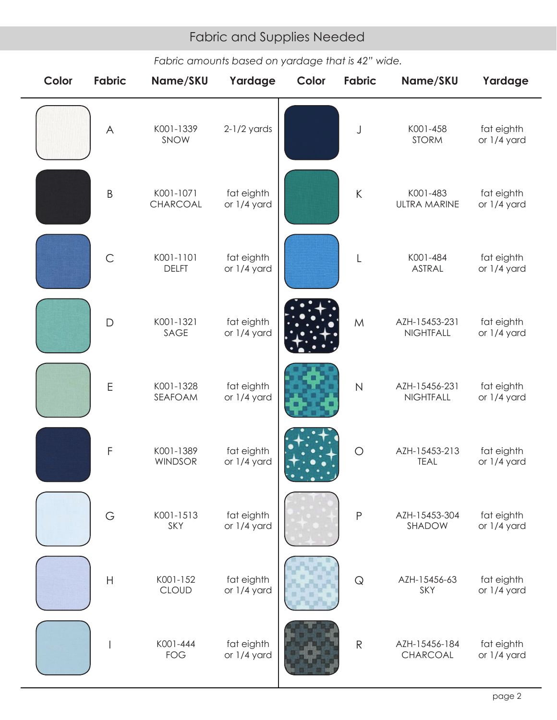# Fabric and Supplies Needed Fabric and Supplies Needed

## *Fabric amounts based on yardage that is 42" wide.*

| Color | <b>Fabric</b> | Name/SKU                    | Yardage                   | Color | <b>Fabric</b> | Name/SKU                        | Yardage                   |
|-------|---------------|-----------------------------|---------------------------|-------|---------------|---------------------------------|---------------------------|
|       | $\forall$     | K001-1339<br>SNOW           | $2-1/2$ yards             |       | J             | K001-458<br><b>STORM</b>        | fat eighth<br>or 1/4 yard |
|       | $\sf B$       | K001-1071<br>CHARCOAL       | fat eighth<br>or 1/4 yard |       | $\sf K$       | K001-483<br><b>ULTRA MARINE</b> | fat eighth<br>or 1/4 yard |
|       | $\mathsf{C}$  | K001-1101<br><b>DELFT</b>   | fat eighth<br>or 1/4 yard |       | L             | K001-484<br>ASTRAL              | fat eighth<br>or 1/4 yard |
|       | $\mathsf{D}$  | K001-1321<br>SAGE           | fat eighth<br>or 1/4 yard |       | M             | AZH-15453-231<br>NIGHTFALL      | fat eighth<br>or 1/4 yard |
|       | $\mathsf E$   | K001-1328<br>SEAFOAM        | fat eighth<br>or 1/4 yard |       | $\mathsf{N}$  | AZH-15456-231<br>NIGHTFALL      | fat eighth<br>or 1/4 yard |
|       | $\mathsf F$   | K001-1389<br><b>WINDSOR</b> | fat eighth<br>or 1/4 yard |       | $\bigcirc$    | AZH-15453-213<br><b>TEAL</b>    | fat eighth<br>or 1/4 yard |
|       | G             | K001-1513<br>SKY            | fat eighth<br>or 1/4 yard |       | $\mathsf P$   | AZH-15453-304<br>SHADOW         | fat eighth<br>or 1/4 yard |
|       | $\mathsf H$   | K001-152<br><b>CLOUD</b>    | fat eighth<br>or 1/4 yard |       | $\mathsf{Q}$  | AZH-15456-63<br>SKY             | fat eighth<br>or 1/4 yard |
|       |               | K001-444<br><b>FOG</b>      | fat eighth<br>or 1/4 yard |       | $\mathsf{R}$  | AZH-15456-184<br>CHARCOAL       | fat eighth<br>or 1/4 yard |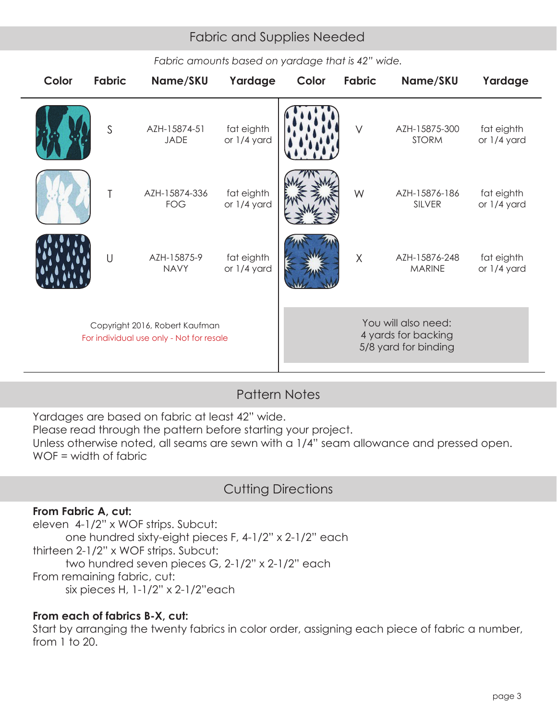# Fabric and Supplies Needed Fabric and Supplies Needed

| Color                                                                      | <b>Fabric</b> | Name/SKU                    | Yardage                   | Color | <b>Fabric</b> | Name/SKU                                                           | Yardage                   |
|----------------------------------------------------------------------------|---------------|-----------------------------|---------------------------|-------|---------------|--------------------------------------------------------------------|---------------------------|
|                                                                            | $\mathsf{S}$  | AZH-15874-51<br><b>JADE</b> | fat eighth<br>or 1/4 yard |       | $\vee$        | AZH-15875-300<br><b>STORM</b>                                      | fat eighth<br>or 1/4 yard |
|                                                                            | T             | AZH-15874-336<br><b>FOG</b> | fat eighth<br>or 1/4 yard |       | W             | AZH-15876-186<br><b>SILVER</b>                                     | fat eighth<br>or 1/4 yard |
|                                                                            | $\cup$        | AZH-15875-9<br><b>NAVY</b>  | fat eighth<br>or 1/4 yard |       | $\chi$        | AZH-15876-248<br><b>MARINE</b>                                     | fat eighth<br>or 1/4 yard |
| Copyright 2016, Robert Kaufman<br>For individual use only - Not for resale |               |                             |                           |       |               | You will also need:<br>4 yards for backing<br>5/8 yard for binding |                           |

#### *Fabric amounts based on yardage that is 42" wide.*

## Pattern Notes

Yardages are based on fabric at least 42" wide.

Please read through the pattern before starting your project.

Unless otherwise noted, all seams are sewn with a 1/4" seam allowance and pressed open. WOF = width of fabric

## Cutting Directions

#### **From Fabric A, cut:**

eleven 4-1/2" x WOF strips. Subcut: one hundred sixty-eight pieces F, 4-1/2" x 2-1/2" each thirteen 2-1/2" x WOF strips. Subcut: two hundred seven pieces G, 2-1/2" x 2-1/2" each From remaining fabric, cut: six pieces H, 1-1/2" x 2-1/2"each

#### **From each of fabrics B-X, cut:**

Start by arranging the twenty fabrics in color order, assigning each piece of fabric a number, from 1 to 20.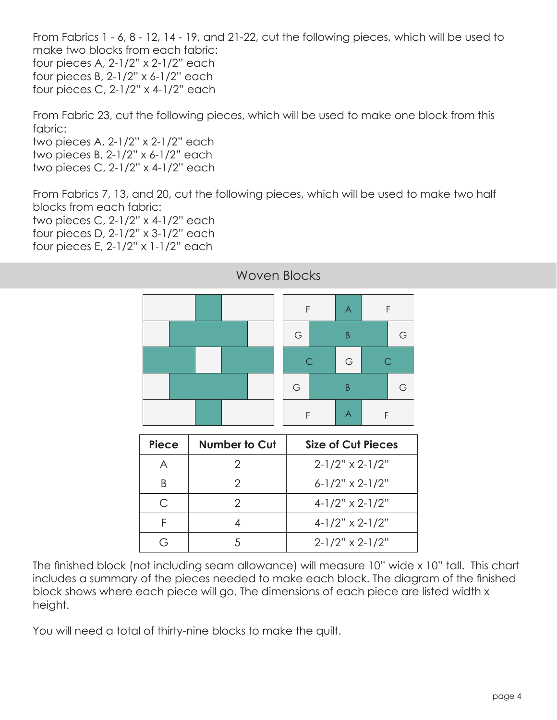From Fabrics 1 - 6, 8 - 12, 14 - 19, and 21-22, cut the following pieces, which will be used to make two blocks from each fabric: four pieces A, 2-1/2" x 2-1/2" each four pieces B, 2-1/2" x 6-1/2" each four pieces C, 2-1/2" x 4-1/2" each

From Fabric 23, cut the following pieces, which will be used to make one block from this fabric:

two pieces A, 2-1/2" x 2-1/2" each two pieces B, 2-1/2" x 6-1/2" each two pieces C, 2-1/2" x 4-1/2" each

From Fabrics 7, 13, and 20, cut the following pieces, which will be used to make two half blocks from each fabric:

two pieces C, 2-1/2" x 4-1/2" each four pieces D, 2-1/2" x 3-1/2" each four pieces E, 2-1/2" x 1-1/2" each



#### Woven Blocks

| <b>Piece</b> | Number to Cut | Size of Cut Pieces     |
|--------------|---------------|------------------------|
|              |               | $2-1/2" \times 2-1/2"$ |
|              |               | $6-1/2" \times 2-1/2"$ |
| ⊂            |               | $4-1/2" \times 2-1/2"$ |
|              |               | $4-1/2" \times 2-1/2"$ |
|              |               | $2-1/2" \times 2-1/2"$ |

The finished block (not including seam allowance) will measure 10" wide x 10" tall. This chart includes a summary of the pieces needed to make each block. The diagram of the finished block shows where each piece will go. The dimensions of each piece are listed width x height.

You will need a total of thirty-nine blocks to make the quilt.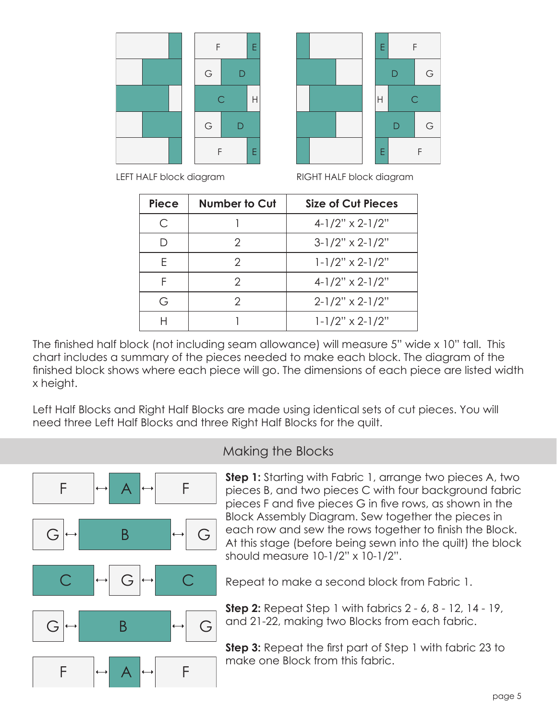



LEFT HALF block diagram



| <b>Piece</b> | <b>Number to Cut</b> | Size of Cut Pieces         |
|--------------|----------------------|----------------------------|
| C            |                      | $4-1/2" \times 2-1/2"$     |
|              | 2                    | $3-1/2" \times 2-1/2"$     |
| F.           |                      | $1 - 1/2$ " x 2-1/2"       |
| F            | 2                    | $4-1/2" \times 2-1/2"$     |
| G            |                      | $2-1/2" \times 2-1/2"$     |
|              |                      | $1 - 1/2" \times 2 - 1/2"$ |

The finished half block (not including seam allowance) will measure 5" wide x 10" tall. This chart includes a summary of the pieces needed to make each block. The diagram of the finished block shows where each piece will go. The dimensions of each piece are listed width x height.

Left Half Blocks and Right Half Blocks are made using identical sets of cut pieces. You will need three Left Half Blocks and three Right Half Blocks for the quilt.



#### Making the Blocks

**Step 1:** Starting with Fabric 1, arrange two pieces A, two pieces B, and two pieces C with four background fabric pieces F and five pieces G in five rows, as shown in the Block Assembly Diagram. Sew together the pieces in each row and sew the rows together to finish the Block. At this stage (before being sewn into the quilt) the block should measure 10-1/2" x 10-1/2".

Repeat to make a second block from Fabric 1.

**Step 2:** Repeat Step 1 with fabrics 2 - 6, 8 - 12, 14 - 19, and 21-22, making two Blocks from each fabric.

**Step 3:** Repeat the first part of Step 1 with fabric 23 to make one Block from this fabric.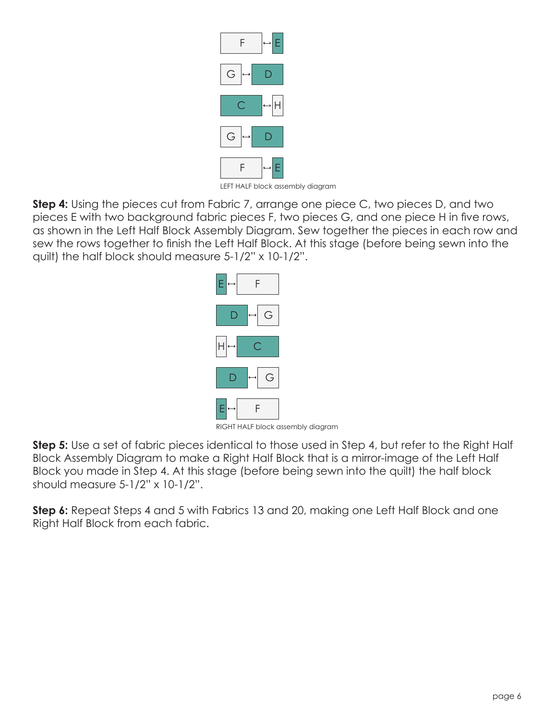

LEFT HALF block assembly diagram

**Step 4:** Using the pieces cut from Fabric 7, arrange one piece C, two pieces D, and two pieces E with two background fabric pieces F, two pieces G, and one piece H in five rows, as shown in the Left Half Block Assembly Diagram. Sew together the pieces in each row and sew the rows together to finish the Left Half Block. At this stage (before being sewn into the quilt) the half block should measure 5-1/2" x 10-1/2".



RIGHT HALF block assembly diagram

**Step 5:** Use a set of fabric pieces identical to those used in Step 4, but refer to the Right Half Block Assembly Diagram to make a Right Half Block that is a mirror-image of the Left Half Block you made in Step 4. At this stage (before being sewn into the quilt) the half block should measure 5-1/2" x 10-1/2".

**Step 6:** Repeat Steps 4 and 5 with Fabrics 13 and 20, making one Left Half Block and one Right Half Block from each fabric.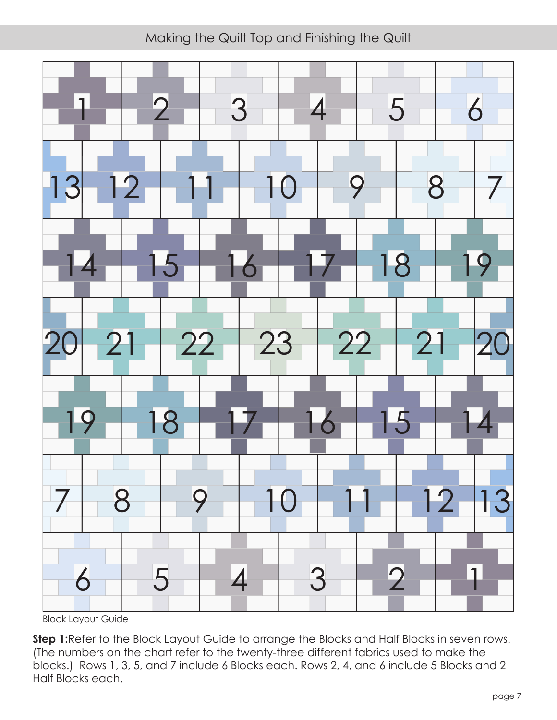Making the Quilt Top and Finishing the Quilt



Block Layout Guide

**Step 1:**Refer to the Block Layout Guide to arrange the Blocks and Half Blocks in seven rows. (The numbers on the chart refer to the twenty-three different fabrics used to make the blocks.) Rows 1, 3, 5, and 7 include 6 Blocks each. Rows 2, 4, and 6 include 5 Blocks and 2 Half Blocks each.